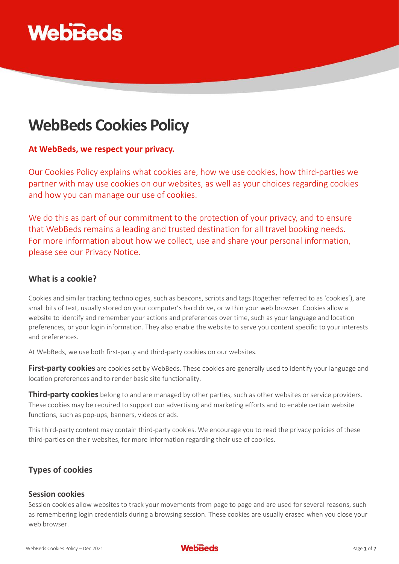

# **WebBeds Cookies Policy**

# **At WebBeds, we respect your privacy.**

Our Cookies Policy explains what cookies are, how we use cookies, how third-parties we partner with may use cookies on our websites, as well as your choices regarding cookies and how you can manage our use of cookies.

We do this as part of our commitment to the protection of your privacy, and to ensure that WebBeds remains a leading and trusted destination for all travel booking needs. For more information about how we collect, use and share your personal information, please see our Privacy Notice.

# **What is a cookie?**

Cookies and similar tracking technologies, such as beacons, scripts and tags (together referred to as 'cookies'), are small bits of text, usually stored on your computer's hard drive, or within your web browser. Cookies allow a website to identify and remember your actions and preferences over time, such as your language and location preferences, or your login information. They also enable the website to serve you content specific to your interests and preferences.

At WebBeds, we use both first-party and third-party cookies on our websites.

**First-party cookies** are cookies set by WebBeds. These cookies are generally used to identify your language and location preferences and to render basic site functionality.

**Third-party cookies** belong to and are managed by other parties, such as other websites or service providers. These cookies may be required to support our advertising and marketing efforts and to enable certain website functions, such as pop-ups, banners, videos or ads.

This third-party content may contain third-party cookies. We encourage you to read the privacy policies of these third-parties on their websites, for more information regarding their use of cookies.

# **Types of cookies**

### **Session cookies**

Session cookies allow websites to track your movements from page to page and are used for several reasons, such as remembering login credentials during a browsing session. These cookies are usually erased when you close your web browser.

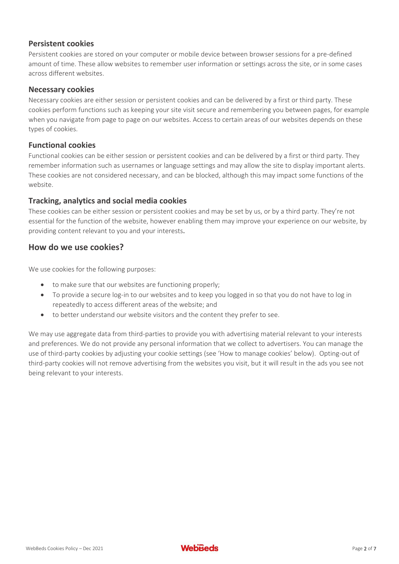### **Persistent cookies**

Persistent cookies are stored on your computer or mobile device between browser sessions for a pre-defined amount of time. These allow websites to remember user information or settings across the site, or in some cases across different websites.

### **Necessary cookies**

Necessary cookies are either session or persistent cookies and can be delivered by a first or third party. These cookies perform functions such as keeping your site visit secure and remembering you between pages, for example when you navigate from page to page on our websites. Access to certain areas of our websites depends on these types of cookies.

#### **Functional cookies**

Functional cookies can be either session or persistent cookies and can be delivered by a first or third party. They remember information such as usernames or language settings and may allow the site to display important alerts. These cookies are not considered necessary, and can be blocked, although this may impact some functions of the website.

### **Tracking, analytics and social media cookies**

These cookies can be either session or persistent cookies and may be set by us, or by a third party. They're not essential for the function of the website, however enabling them may improve your experience on our website, by providing content relevant to you and your interests.

# **How do we use cookies?**

We use cookies for the following purposes:

- to make sure that our websites are functioning properly;
- To provide a secure log-in to our websites and to keep you logged in so that you do not have to log in repeatedly to access different areas of the website; and
- to better understand our website visitors and the content they prefer to see.

We may use aggregate data from third-parties to provide you with advertising material relevant to your interests and preferences. We do not provide any personal information that we collect to advertisers. You can manage the use of third-party cookies by adjusting your cookie settings (see 'How to manage cookies' below). Opting-out of third-party cookies will not remove advertising from the websites you visit, but it will result in the ads you see not being relevant to your interests.

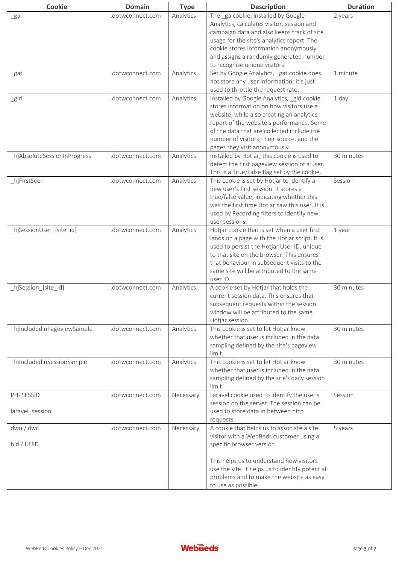| Cookie                      | <b>Domain</b>    | <b>Type</b> | <b>Description</b>                                                              | <b>Duration</b> |
|-----------------------------|------------------|-------------|---------------------------------------------------------------------------------|-----------------|
| $g$ a                       | .dotwconnect.com | Analytics   | The ga cookie, installed by Google                                              | 2 years         |
|                             |                  |             | Analytics, calculates visitor, session and                                      |                 |
|                             |                  |             | campaign data and also keeps track of site                                      |                 |
|                             |                  |             | usage for the site's analytics report. The                                      |                 |
|                             |                  |             | cookie stores information anonymously                                           |                 |
|                             |                  |             | and assigns a randomly generated number                                         |                 |
|                             |                  |             | to recognize unique visitors.                                                   |                 |
| _gat                        | .dotwconnect.com | Analytics   | Set by Google Analytics, gat cookie does                                        | 1 minute        |
|                             |                  |             | not store any user information; it's just                                       |                 |
|                             |                  |             | used to throttle the request rate.                                              |                 |
| _gid                        | .dotwconnect.com | Analytics   | Installed by Google Analytics, gid cookie                                       | 1 day           |
|                             |                  |             | stores information on how visitors use a                                        |                 |
|                             |                  |             | website, while also creating an analytics                                       |                 |
|                             |                  |             | report of the website's performance. Some                                       |                 |
|                             |                  |             | of the data that are collected include the                                      |                 |
|                             |                  |             | number of visitors, their source, and the                                       |                 |
|                             |                  |             | pages they visit anonymously.                                                   |                 |
| hjAbsoluteSessionInProgress | .dotwconnect.com | Analytics   | Installed by Hotjar, this cookie is used to                                     | 30 minutes      |
|                             |                  |             | detect the first pageview session of a user.                                    |                 |
|                             |                  |             | This is a True/False flag set by the cookie.                                    |                 |
| hjFirstSeen                 | .dotwconnect.com | Analytics   | This cookie is set by Hotjar to identify a                                      | Session         |
|                             |                  |             | new user's first session. It stores a                                           |                 |
|                             |                  |             | true/false value, indicating whether this                                       |                 |
|                             |                  |             | was the first time Hotjar saw this user. It is                                  |                 |
|                             |                  |             | used by Recording filters to identify new                                       |                 |
|                             |                  |             | user sessions.                                                                  |                 |
| _hjSessionUser_{site_id}    | .dotwconnect.com | Analytics   | Hotjar cookie that is set when a user first                                     | 1 year          |
|                             |                  |             | lands on a page with the Hotjar script. It is                                   |                 |
|                             |                  |             | used to persist the Hotjar User ID, unique                                      |                 |
|                             |                  |             | to that site on the browser. This ensures                                       |                 |
|                             |                  |             | that behaviour in subsequent visits to the                                      |                 |
|                             |                  |             | same site will be attributed to the same                                        |                 |
|                             |                  |             |                                                                                 |                 |
|                             | .dotwconnect.com | Analytics   | user ID.<br>A cookie set by Hotjar that holds the                               | 30 minutes      |
| _hjSession_{site_id}        |                  |             | current session data. This ensures that                                         |                 |
|                             |                  |             |                                                                                 |                 |
|                             |                  |             | subsequent requests within the session<br>window will be attributed to the same |                 |
|                             |                  |             |                                                                                 |                 |
|                             |                  |             | Hotjar session.<br>This cookie is set to let Hotjar know                        |                 |
| hjIncludedInPageviewSample  | .dotwconnect.com | Analytics   | whether that user is included in the data                                       | 30 minutes      |
|                             |                  |             |                                                                                 |                 |
|                             |                  |             | sampling defined by the site's pageview<br>limit.                               |                 |
| hjIncludedInSessionSample   | .dotwconnect.com | Analytics   | This cookie is set to let Hotjar know                                           | 30 minutes      |
|                             |                  |             | whether that user is included in the data                                       |                 |
|                             |                  |             | sampling defined by the site's daily session                                    |                 |
|                             |                  |             | limit.                                                                          |                 |
| <b>PHPSESSID</b>            | .dotwconnect.com |             | Laravel cookie used to identify the user's                                      | Session         |
|                             |                  | Necessary   | session on the server. The session can be                                       |                 |
| laravel_session             |                  |             | used to store data in between http                                              |                 |
|                             |                  |             |                                                                                 |                 |
| dwu / dwc                   | .dotwconnect.com | Necessary   | requests.<br>A cookie that helps us to associate a site                         | 5 years         |
|                             |                  |             |                                                                                 |                 |
|                             |                  |             | visitor with a WebBeds customer using a                                         |                 |
| bid / UUID                  |                  |             | specific browser version.                                                       |                 |
|                             |                  |             |                                                                                 |                 |
|                             |                  |             | This helps us to understand how visitors                                        |                 |
|                             |                  |             | use the site. It helps us to identify potential                                 |                 |
|                             |                  |             | problems and to make the website as easy                                        |                 |
|                             |                  |             | to use as possible.                                                             |                 |

 $\blacksquare$ 

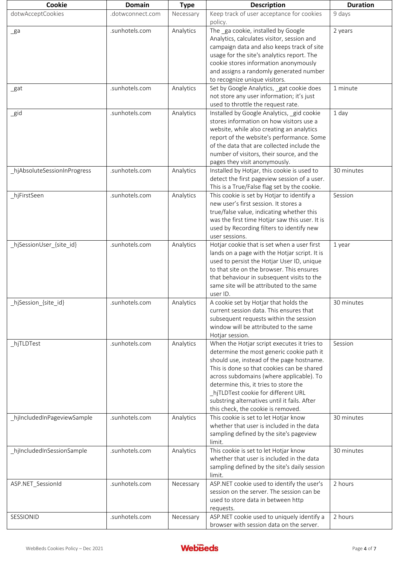| Cookie                      | <b>Domain</b>    | <b>Type</b> | <b>Description</b>                                                                                                                                                                                                                                                                                                                                                                                    | <b>Duration</b> |
|-----------------------------|------------------|-------------|-------------------------------------------------------------------------------------------------------------------------------------------------------------------------------------------------------------------------------------------------------------------------------------------------------------------------------------------------------------------------------------------------------|-----------------|
| dotwAcceptCookies           | .dotwconnect.com | Necessary   | Keep track of user acceptance for cookies<br>policy.                                                                                                                                                                                                                                                                                                                                                  | 9 days          |
| _ga                         | .sunhotels.com   | Analytics   | The ga cookie, installed by Google<br>Analytics, calculates visitor, session and<br>campaign data and also keeps track of site<br>usage for the site's analytics report. The<br>cookie stores information anonymously<br>and assigns a randomly generated number<br>to recognize unique visitors.                                                                                                     | 2 years         |
| _gat                        | .sunhotels.com   | Analytics   | Set by Google Analytics, gat cookie does<br>not store any user information; it's just<br>used to throttle the request rate.                                                                                                                                                                                                                                                                           | 1 minute        |
| _gid                        | .sunhotels.com   | Analytics   | Installed by Google Analytics, gid cookie<br>stores information on how visitors use a<br>website, while also creating an analytics<br>report of the website's performance. Some<br>of the data that are collected include the<br>number of visitors, their source, and the<br>pages they visit anonymously.                                                                                           | 1 day           |
| hjAbsoluteSessionInProgress | .sunhotels.com   | Analytics   | Installed by Hotjar, this cookie is used to<br>detect the first pageview session of a user.<br>This is a True/False flag set by the cookie.                                                                                                                                                                                                                                                           | 30 minutes      |
| _hjFirstSeen                | .sunhotels.com   | Analytics   | This cookie is set by Hotjar to identify a<br>new user's first session. It stores a<br>true/false value, indicating whether this<br>was the first time Hotjar saw this user. It is<br>used by Recording filters to identify new<br>user sessions.                                                                                                                                                     | Session         |
| _hjSessionUser_{site_id}    | .sunhotels.com   | Analytics   | Hotjar cookie that is set when a user first<br>lands on a page with the Hotjar script. It is<br>used to persist the Hotjar User ID, unique<br>to that site on the browser. This ensures<br>that behaviour in subsequent visits to the<br>same site will be attributed to the same<br>user ID.                                                                                                         | 1 year          |
| _hjSession_{site_id}        | .sunhotels.com   | Analytics   | A cookie set by Hotjar that holds the<br>current session data. This ensures that<br>subsequent requests within the session<br>window will be attributed to the same<br>Hotjar session.                                                                                                                                                                                                                | 30 minutes      |
| _hjTLDTest                  | .sunhotels.com   | Analytics   | When the Hotjar script executes it tries to<br>determine the most generic cookie path it<br>should use, instead of the page hostname.<br>This is done so that cookies can be shared<br>across subdomains (where applicable). To<br>determine this, it tries to store the<br>_hjTLDTest cookie for different URL<br>substring alternatives until it fails. After<br>this check, the cookie is removed. | Session         |
| _hjIncludedInPageviewSample | .sunhotels.com   | Analytics   | This cookie is set to let Hotjar know<br>whether that user is included in the data<br>sampling defined by the site's pageview<br>limit.                                                                                                                                                                                                                                                               | 30 minutes      |
| hjIncludedInSessionSample   | .sunhotels.com   | Analytics   | This cookie is set to let Hotjar know<br>whether that user is included in the data<br>sampling defined by the site's daily session<br>limit.                                                                                                                                                                                                                                                          | 30 minutes      |
| ASP.NET_SessionId           | .sunhotels.com   | Necessary   | ASP.NET cookie used to identify the user's<br>session on the server. The session can be<br>used to store data in between http<br>requests.                                                                                                                                                                                                                                                            | 2 hours         |
| SESSIONID                   | .sunhotels.com   | Necessary   | ASP.NET cookie used to uniquely identify a<br>browser with session data on the server.                                                                                                                                                                                                                                                                                                                | 2 hours         |

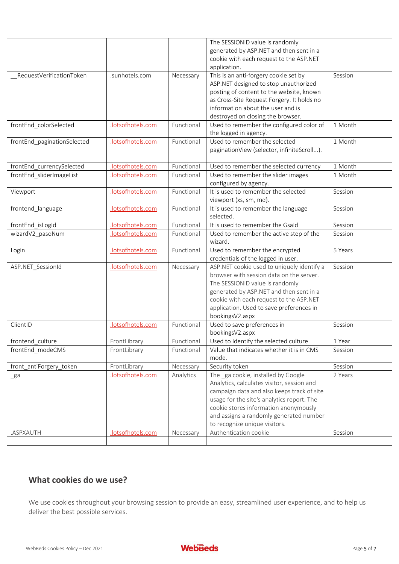|                             |                   |            | The SESSIONID value is randomly                    |         |
|-----------------------------|-------------------|------------|----------------------------------------------------|---------|
|                             |                   |            | generated by ASP.NET and then sent in a            |         |
|                             |                   |            | cookie with each request to the ASP.NET            |         |
|                             |                   |            | application.                                       |         |
| _RequestVerificationToken   | .sunhotels.com    | Necessary  | This is an anti-forgery cookie set by              | Session |
|                             |                   |            | ASP.NET designed to stop unauthorized              |         |
|                             |                   |            | posting of content to the website, known           |         |
|                             |                   |            | as Cross-Site Request Forgery. It holds no         |         |
|                             |                   |            | information about the user and is                  |         |
|                             |                   |            | destroyed on closing the browser.                  |         |
| frontEnd_colorSelected      | .lotsofhotels.com | Functional | Used to remember the configured color of           | 1 Month |
|                             |                   |            | the logged in agency.                              |         |
| frontEnd_paginationSelected | .lotsofhotels.com | Functional | Used to remember the selected                      | 1 Month |
|                             |                   |            | paginationView (selector, infiniteScroll).         |         |
|                             |                   |            |                                                    |         |
| frontEnd_currencySelected   | .lotsofhotels.com | Functional | Used to remember the selected currency             | 1 Month |
| frontEnd_sliderImageList    | .lotsofhotels.com | Functional | Used to remember the slider images                 | 1 Month |
|                             |                   |            | configured by agency.                              |         |
| Viewport                    | .lotsofhotels.com | Functional | It is used to remember the selected                | Session |
|                             |                   |            | viewport (xs, sm, md).                             |         |
| frontend_language           | .lotsofhotels.com | Functional | It is used to remember the language                | Session |
|                             |                   |            | selected.                                          |         |
| frontEnd_isLogId            | lotsofhotels.com  | Functional | It is used to remember the Gsald                   | Session |
| wizardV2_pasoNum            | lotsofhotels.com  | Functional | Used to remember the active step of the            | Session |
|                             |                   |            | wizard.                                            |         |
| Login                       | lotsofhotels.com  | Functional | Used to remember the encrypted                     | 5 Years |
|                             |                   |            | credentials of the logged in user.                 |         |
| ASP.NET_SessionId           | .lotsofhotels.com | Necessary  | ASP.NET cookie used to uniquely identify a         | Session |
|                             |                   |            | browser with session data on the server.           |         |
|                             |                   |            | The SESSIONID value is randomly                    |         |
|                             |                   |            | generated by ASP.NET and then sent in a            |         |
|                             |                   |            | cookie with each request to the ASP.NET            |         |
|                             |                   |            | application. Used to save preferences in           |         |
|                             |                   |            | bookingsV2.aspx                                    |         |
| ClientID                    | .lotsofhotels.com | Functional | Used to save preferences in                        | Session |
|                             |                   |            | bookingsV2.aspx                                    |         |
| frontend_culture            | FrontLibrary      | Functional | Used to Identify the selected culture              | 1 Year  |
| frontEnd_modeCMS            | FrontLibrary      | Functional | Value that indicates whether it is in CMS<br>mode. | Session |
| front_antiForgery_token     | FrontLibrary      | Necessary  | Security token                                     | Session |
|                             | .lotsofhotels.com | Analytics  | The ga cookie, installed by Google                 | 2 Years |
| $g$ a                       |                   |            | Analytics, calculates visitor, session and         |         |
|                             |                   |            | campaign data and also keeps track of site         |         |
|                             |                   |            | usage for the site's analytics report. The         |         |
|                             |                   |            | cookie stores information anonymously              |         |
|                             |                   |            | and assigns a randomly generated number            |         |
|                             |                   |            | to recognize unique visitors.                      |         |
| .ASPXAUTH                   | .lotsofhotels.com | Necessary  | Authentication cookie                              | Session |
|                             |                   |            |                                                    |         |

# **What cookies do we use?**

We use cookies throughout your browsing session to provide an easy, streamlined user experience, and to help us deliver the best possible services.

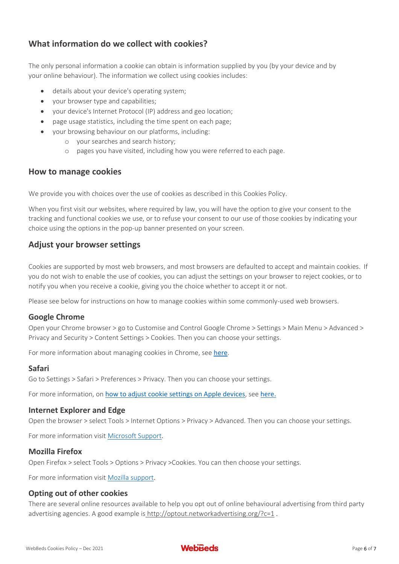# **What information do we collect with cookies?**

The only personal information a cookie can obtain is information supplied by you (by your device and by your online behaviour). The information we collect using cookies includes:

- details about your device's operating system;
- vour browser type and capabilities:
- your device's Internet Protocol (IP) address and geo location;
- page usage statistics, including the time spent on each page;
- your browsing behaviour on our platforms, including:
	- o your searches and search history;
	- o pages you have visited, including how you were referred to each page.

# **How to manage cookies**

We provide you with choices over the use of cookies as described in this Cookies Policy.

When you first visit our websites, where required by law, you will have the option to give your consent to the tracking and functional cookies we use, or to refuse your consent to our use of those cookies by indicating your choice using the options in the pop-up banner presented on your screen.

# **Adjust your browser settings**

Cookies are supported by most web browsers, and most browsers are defaulted to accept and maintain cookies. If you do not wish to enable the use of cookies, you can adjust the settings on your browser to reject cookies, or to notify you when you receive a cookie, giving you the choice whether to accept it or not.

Please see below for instructions on how to manage cookies within some commonly-used web browsers.

### **Google Chrome**

Open your Chrome browser > go to Customise and Control Google Chrome > Settings > Main Menu > Advanced > Privacy and Security > Content Settings > Cookies. Then you can choose your settings.

For more information about managing cookies in Chrome, see [here](https://support.google.com/chrome/answer/95647).

### **Safari**

Go to Settings > Safari > Preferences > Privacy. Then you can choose your settings.  

For more information, on [how to adjust cookie settings on Apple devices](https://support.apple.com/en-au/HT201265), see [here.](https://support.apple.com/en-au/HT201265)

### **Internet Explorer and Edge**

Open the browser > select Tools > Internet Options > Privacy > Advanced. Then you can choose your settings.

For more information visit [Microsoft Support.](https://support.microsoft.com/en-au)

### **Mozilla Firefox**

Open Firefox > select Tools > Options > Privacy >Cookies. You can then choose your settings.

For more information visit [Mozilla support.](https://support.mozilla.org/en-US/kb/enable-and-disable-cookies-website-preferences)

### **Opting out of other cookies**

There are several online resources available to help you opt out of online behavioural advertising from third party advertising agencies. A good example is <http://optout.networkadvertising.org/?c=1>.